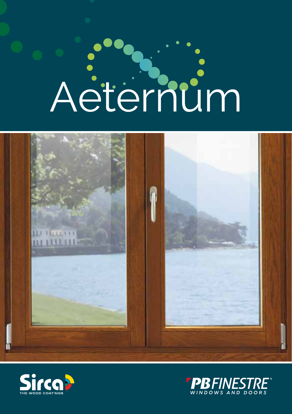# Aeternum





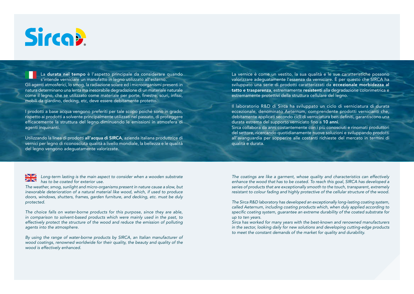

La durata nel tempo è l'aspetto principale da considerare quando s'intende verniciare un manufatto in legno utilizzato all'esterno. Gli agenti atmosferici, lo smog, la radiazione solare ed i microorganismi presenti in natura determinano una lenta ma inesorabile degradazione di un materiale naturale come il legno, che se utilizzato come materiale per porte, finestre, scuri, infissi, mobili da giardino, decking, etc, deve essere debitamente protetto.

I prodotti a base acqua vengono preferiti per tale scopo poiché sono in grado, rispetto ai prodotti a solvente principalmente utilizzati nel passato, di proteggere efficacemente la struttura del legno diminuendo le emissioni in atmosfera di agenti inquinanti.

Utilizzando la linea di prodotti all'acqua di SIRCA, azienda italiana produttrice di vernici per legno di riconosciuta qualità a livello mondiale, la bellezza e le qualità del legno vengono adeguatamente valorizzate.

La vernice è come un vestito, la sua qualità e le sue caratteristiche possono valorizzare adeguatamente l'essenza da verniciare. È per questo che SIRCA ha sviluppato una serie di prodotti caratterizzati da eccezionale morbidezza al tatto e trasparenza, estremamente resistenti alla degradazione colorimetrica e estremamente protettivi della struttura cellulare del legno.

Il laboratorio R&D di Sirca ha sviluppato un ciclo di verniciatura di durata eccezionale, denominato Aeternum, comprendente prodotti vernicianti che, debitamente applicati secondo cicli di verniciatura ben definiti, garantiscono una durata estrema del supporto verniciato fino a 10 anni.

Sirca collabora da anni costantemente con i più conosciuti e rinomati produttori del settore, ricercando quotidianamente nuove soluzioni e sviluppando prodotti all'avanguardia per sopperire alle costanti richieste del mercato in termini di qualità e durata.

Long-term lasting is the main aspect to consider when a wooden substrate  $\frac{N}{N}$ has to be coated for exterior use.

The weather, smog, sunlight and micro-organisms present in nature cause a slow, but inexorable deterioration of a natural material like wood, which, if used to produce doors, windows, shutters, frames, garden furniture, and decking, etc. must be duly protected.

The choice falls on water-borne products for this purpose, since they are able, in comparison to solvent-based products which were mainly used in the past, to effectively protect the structure of the wood and reduce the emission of polluting agents into the atmosphere.

By using the range of water-borne products by SIRCA, an Italian manufacturer of wood coatings, renowned worldwide for their quality, the beauty and quality of the wood is effectively enhanced.

The coatings are like a garment, whose quality and characteristics can effectively enhance the wood that has to be coated. To reach this goal, SIRCA has developed a series of products that are exceptionally smooth to the touch, transparent, extremely resistant to colour fading and highly protective of the cellular structure of the wood.

The Sirca R&D laboratory has developed an exceptionally long-lasting coating system, called Aeternum, including coating products which, when duly applied according to specific coating system, guarantee an extreme durability of the coated substrate for up to ten years.

Sirca has worked for many years with the best-known and renowned manufacturers in the sector, looking daily for new solutions and developing cutting-edge products to meet the constant demands of the market for quality and durability.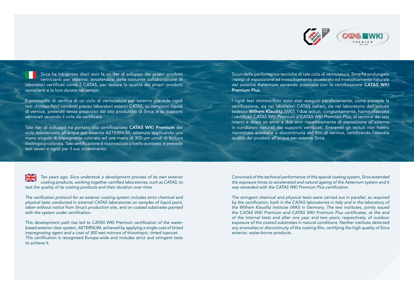

Sirca ha intrapreso dieci anni fa un iter di sviluppo dei propri prodotti vernicianti per esterno, avvalendosi della costante collaborazione di laboratori certificati come il CATAS, per testare la qualità dei propri prodotti vernicianti e la loro durata nel tempo.

Il protocollo di verifica di un ciclo di verniciatura per esterno prevede rigidi test chimico-fisici condotti presso laboratori esterni CATAS, su campioni liquidi di vernice, prelevati senza preavviso dal sito produttivo di Sirca, e su supporti verniciati secondo il ciclo da certificare.

Tale iter di sviluppo ha portato alla certificazione CATAS WKI Premium del ciclo mordenzato all'acqua per esterno AETERNUM, ottenuto applicando una mano singola di impegnante colorato ed una mano di 300 μm umidi di finitura tixotropica colorata. Tale certificazione è riconosciuta a livello europeo, e prevede test severi e rigidi per il suo ottenimento.

Sicuri delle performance tecniche di tale ciclo di verniciatura, Sirca ha prolungato i tempi di esposizione ad invecchiamento accelerato ed invecchiamento naturale del sistema Aeternum venendo premiata con la certificazione CATAS WKI Premium Plus.

I rigidi test chimico-fisici sono stati eseguiti parallelamente, come prevede la certificazione, sia nei laboratori CATAS italiani, sia nel laboratorio dell'istituto tedesco Wilhem Klauditz (WKI). I due istituti, congiuntamente, hanno rilasciato i certificati CATAS WKI Premium e CATAS WKI Premium Plus, al termine dei test interni e dopo un anno e due anni rispettivamente di esposizione all'esterno in condizioni naturali dei supporti verniciati. Entrambi gli istituti non hanno riscontrato anomalie o discontinuità del film di vernice, certificando l'elevata qualità dei prodotti all'acqua per esterno Sirca.

Ten years ago, Sirca undertook a development process of its own exterior coating products, working together certified laboratories, such as CATAS, to test the quality of its coating products and their duration over time.

The verification protocol for an exterior coating system includes strict chemical and physical tests conducted in external CATAS laboratories on samples of liquid paint, taken without notice from Sirca's production site, and on coated substrates painted with the system under certification.

This development path has led to CATAS WKI Premium certification of the waterbased exterior clear system, AETERNUM, achieved by applying a single coat of tinted impregnating agent and a coat of 300 wet microns of thixotropic, tinted topcoat. This certification is recognised Europe-wide and includes strict and stringent tests to achieve it.

Convinced of the technical performance of this special coating system, Sirca extended the exposure times to accelerated and natural ageing of the Aeternum system and it was rewarded with the CATAS WKI Premium Plus certification.

The stringent chemical and physical tests were carried out in parallel, as required by the certification, both in the CATAS laboratories in Italy and in the laboratory of the Wilhem Klauditz Institute (WKI) in Germany. The two institutes, jointly issued the CATAS WKI Premium and CATAS WKI Premium Plus certificates, at the end of the internal tests and after one year and two years, respectively, of outdoor exposure of the coated substrates in natural conditions. Neither institute detected any anomalies or discontinuity of the coating film, certifying the high quality of Sirca exterior, water-borne products.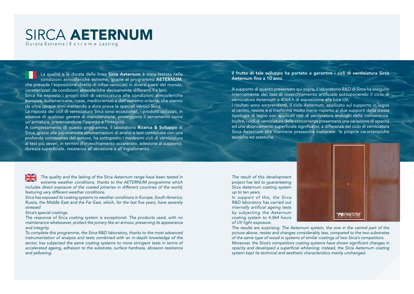### SIRCA AETERNUM Durata Estrema | E x t r e m e Lasting

La qualità e la durata della linea Sirca Aeternum è stata testata nelle condizioni atmosferiche estreme, grazie al programma AETERNUM, che prevede l'esposizione diretta di infissi verniciati in diversi paesi del mondo, caratterizzati da condizioni atmosferiche decisamente differenti fra loro. Sirca ha esposto i propri cicli di verniciatura alle condizioni atmosferiche europee, sudamericane, russe, mediorientali e dell'estremo oriente, che stanno da oltre cinque anni mettendo a dura prova le speciali vernici Sirca.

La risposta dei cicli di verniciatura Sirca sono eccezionali, i prodotti utilizzati, in assenza di qualsiasi genere di manutenzione, proteggono il serramento come un'armatura, preservandone l'aspetto e l'integrità.

A completamento di questo programma, il laboratorio Ricerca & Sviluppo di Sirca, grazie alle più avanzate strumentazioni di analisi e test combinate con una profonda conoscenza del settore, ha sottoposto i medesimi cicli di verniciatura ai test più severi, in termini d'invecchiamento accelerato, adesione al supporto, durezza superficiale, resistenza all'abrasione e all'ingiallimento.

Il frutto di tale sviluppo ha portato a garantire i cicli di verniciatura Sirca Aeternum fino a 10 anni.

A supporto di quanto presentato qui sopra, il laboratorio R&D di Sirca ha eseguito internamente dei test di invecchiamento artificiale sottoponendo il ciclo di verniciatura Aeternum a 4064 h di esposizione alla luce UV.

I risultati sono sorprendenti, il ciclo Aeternum, applicato sul supporto in legno al centro, resiste e si trasforma molto meno rispetto ai due supporti della stessa tipologia di legno con applicati cicli di verniciatura analoghi della concorrenza. Inoltre, i cicli di verniciatura della concorrenza presentano una variazione di opacità ed uno sbiancamento superficiale significativi, a differenza del ciclo di verniciatura Sirca Aeternum che mantiene pressoché inalterate le proprie caratteristiche tecniche ed estetiche.

The result of this development project has led to guaranteeing Sirca Aeternum coating system up to ten years.

In support of this, the Sirca R&D laboratory has carried out internally artificial ageing tests by subjecting the Aeternum coating system to 4.064 hours of UV light exposure.



The results are surprising. The Aeternum system, the one in the central part of the picture above, resists and changes considerably less, compared to the two substrates of the same type of wood in systems of similar coatings of two Sirca's competitors. Moreover, the Sirca's competitors coating systems have shown significant changes in opacity and developed a superficial whitening; instead, the Sirca Aeternum coating system kept its technical and aesthetic characteristics mainly unchanged.

The quality and the lasting of the Sirca Aeternum range have been tested in ZK extreme weather conditions, thanks to the AETERNUM programme which includes direct exposure of the coated joineries in different countries of the world, featuring very different weather conditions.

Sirca has exposed its coating systems to weather conditions in Europe, South America, Russia, the Middle East and the Far East, which, for the last five years, have severely stressed

### Sirca's special coatings.

The response of Sirca coating system is exceptional. The products used, with no maintenance whatsoever, protect the joinery like an armour, preserving its appearance and integrity.

To complete this programme, the Sirca R&D laboratory, thanks to the most advanced instrumentation of analysis and tests combined with an in-depth knowledge of the sector, has subjected the same coating systems to more stringent tests in terms of accelerated ageing, adhesion to the substrate, surface hardness, abrasion resistance and yellowing.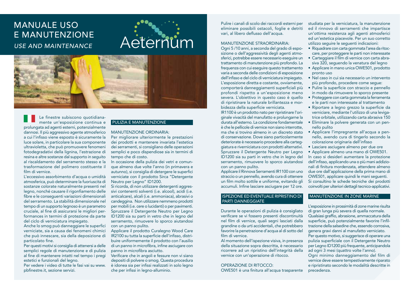### MANUALE USO E MANUTENZIONE USE AND MAINTENANCE

### Aeternum



Le finestre subiscono quotidianamente un'esposizione continua e prolungata ad agenti esterni, potenzialmente dannosi. Il più aggressivo agente atmosferico a cui l'infisso viene esposto è sicuramente la luce solare, in particolare la sua componente ultravioletta, che può promuovere fenomeni fotodegradativi della lignina, l'estrazione di resina e altre sostanze dal supporto in seguito al riscaldamento del serramento stesso e la trasformazione del polimero costituente il film di vernice.

L'eccessivo assorbimento d'acqua o umidità atmosferica, può determinare la fuoriuscita di sostanze colorate naturalmente presenti nel legno, nonché causare il rigonfiamento delle fibre e le conseguenti variazioni dimensionali del serramento. La stabilità dimensionale nel tempo di un supporto legnoso è un parametro cruciale, al fine di assicurarsi le migliori performances in termini di protezione da parte del ciclo di verniciatura impiegato.

Anche lo smog può danneggiare le superfici verniciate, sia a causa dei fenomeni chimici che può innescare, sia della deposizione di particolato fine.

Per questi motivi si consiglia di attenersi a delle semplici regole di manutenzione e di pulizia al fine di mantenere intatti nel tempo i pregi estetici e funzionali del legno.

Per vedere i video di tutte le fasi vai su www. pbfinestre.it, sezione servizi.

### PULIZIA E MANUTENZIONE

### MANUTENZIONE ORDINARIA:

Per migliorare ulteriormente le prestazioni dei prodotti e mantenere invariata l'estetica dei serramenti, si consigliano delle operazioni semplici e poco dispendiose sia in termini di tempo che di costo.

In occasione della pulizia dei vetri e comunque almeno due volte l'anno (in primavera e autunno), si consiglia di detergere le superfici verniciate con il prodotto Sirca "Detergente Neutro per Legno" ID1200.

Si ricorda, di non utilizzare detergenti aggressivi contenenti solventi (i.e. alcool), acidi (i.e. anticalcare), alcali (i.e. ammoniaca), abrasivi o candeggina. Non utilizzare nemmeno prodotti per mobili (i.e. cere o lucidanti) o per pavimenti. Spruzzare il Detergente Neutro per Legno ID1200 sia su parti in vetro che in legno del serramento, rimuovere lo sporco aiutandosi con un panno pulito.

Applicare il prodotto Curalegno Wood Care IR2100 su tutta la superficie dell'infisso, distribuire uniformemente il prodotto con l'ausilio di un panno in microfibra, infine asciugare con panno in microfibra asciutto.

Verificare che in angoli e fessure non vi siano depositi di polvere o smog. Questa procedura è idonea sia per infissi realizzati in solo legno che per infissi in legno-alluminio.

Pulire i canali di scolo dei raccordi esterni per eliminare possibili ostacoli, foglie e detriti vari, al libero deflusso dell'acqua.

### MANUTENZIONE STRAORDINARIA:

Ogni 5 /10 anni, a seconda del grado di esposizione o dell'aggressività degli agenti atmosferici, potrebbe essere necessario eseguire un trattamento di manutenzione più profondo. La frequenza con cui eseguire questo trattamento varia a seconda delle condizioni di esposizione dell'infisso e del ciclo di verniciatura impiegato. L'esposizione diretta e costante, ovviamente, comporterà danneggiamenti superficiali più profondi rispetto a un'esposizione meno severa. L'obiettivo in questo caso è quello di ripristinare la naturale brillantezza e morbidezza della superficie verniciata.

IR1100 è un prodotto nato per ripristinare l'originale vivacità del manufatto e prolungarne la durata all'esterno. La condizione fondamentale è che le pellicole di vernice non siano interrotte, ma che si trovino almeno in un discreto stato di conservazione. Dove siano particolarmente deteriorate è necessario procedere alla carteggiatura e riverniciatura con prodotti alternativi. Spruzzare il Detergente Neutro per Legno ID1200 sia su parti in vetro che in legno del serramento, rimuovere lo sporco aiutandosi con un panno pulito.

Applicare il Rinnova Serramenti IR1100 con uno straccio o un pennello, avendo cura di ottenere un film molto sottile e uniforme, evitando gli accumuli. Infine lasciare asciugare per 12 ore.

### ISPEZIONE ED EVENTUALE RIPRISTINO DI PARTI DANNEGGIATE

Durante le operazioni di pulizia è consigliato verificare se vi fossero presenti discontinuità nel film di vernice, quali segni lasciati dalla grandine o da urti accidentali, che potrebbero favorire la penetrazione d'acqua al di sotto del film di vernice.

Al momento dell'ispezione visiva, in presenza della situazione sopra descritta, è necessario ricorrere ad un ripristino dell'integrità della vernice con un'operazione di ritocco.

### OPERAZIONE DI RITOCCO:

OWE501 è una finitura all'acqua trasparente

studiata per la verniciatura, la manutenzione ed il rinnovo di serramenti che impartisce un'ottima resistenza agli agenti atmosferici ed un'estetica piacevole. Per un suo corretto utilizzo seguire le seguenti indicazioni:

- Riquadrare con carta gommata l'area da ritoccare, per proteggere le parti non interessate
- Carteggiare il film di vernice con carta abrasiva 320, seguendo la venatura del legno
- Applicare in mano unica OWE501, prodotto pronto uso
- Nel caso in cui sia necessario un intervento più profondo, procedere come segue:
- Pulire la superficie con straccio e pennello in modo da rimuovere lo sporco presente
- Proteggere con carta gommata la ferramenta e le parti non interessate al trattamento
- Riportare a legno grezzo la superficie da verniciare, mediante l'utilizzo di una levigatrice orbitale, utilizzando carta abrasiva 150
- Eliminare la polvere generata con un pennello pulito
- Applicare l'impregnante all'acqua a pennello, avendo cura di tingerlo secondo la colorazione originaria dell'infisso
- Lasciare asciugare almeno per due ore

• Applicare almeno una mano di OWE501. In caso si desideri aumentare la protezione dell'infisso, applicando una o più mani addizionali di finitura mordenzata, attendere almeno due ore dall'applicazione della prima mano di OWE501, applicare quindi le mani seguenti. Si consultino le schede tecniche dei prodotti coinvolti per ulteriori dettagli tecnico-applicativi.

### MANUTENZIONE IN ZONE MARINE

L'esposizione in prossimità di zone marine risulta di gran lunga più severa di quella normale. Qualsiasi graffio, abrasione, ammaccatura della superficie, può potenzialmente favorire l'infiltrazione della salsedine che, essendo corrosiva, genera gravi danni al manufatto verniciato. Per questo motivo, si suggerisce di operare una pulizia superficiale con il Detergente Neutro per Legno ID1200 più frequente, anticipandola ad ogni 3 mesi (quattro volte l'anno). Ogni minimo danneggiamento del film di vernice deve essere tempestivamente riparato e ripristinato secondo le modalità descritte in

precedenza.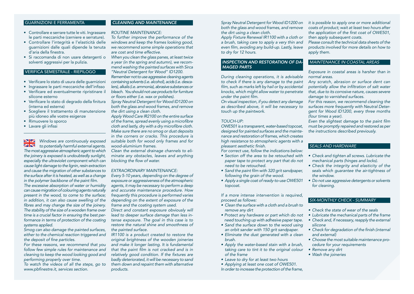### GUARNIZIONI E FERRAMENTA

- Controllare e serrare tutte le viti. Ingrassare le parti meccaniche (cerniere e serrature).
- Controllare l'integrità e l'elasticità delle guarnizioni dalle quali dipende la tenuta d'aria della finestra.
- Si raccomanda di non usare detergenti o solventi aggressivi per la pulizia.

### VERIFICA SEMESTRALE - RIEPILOGO

- Verificare lo stato di usura delle guarnizioni
- Ingrassare le parti meccaniche dell'infisso
- Verificare ed eventualmente ripristinare il silicone esterno
- Verificare lo stato di degrado della finitura (interna ed esterna)
- Scegliere il trattamento di manutenzione più idoneo alle vostre esigenze
- Rimuovere lo sporco
- Lavare gli infissi

*Windows are continuously exposed to potentially harmful external agents. The most aggressive atmospheric agent to which the joinery is exposed is undoubtedly sunlight, especially the ultraviolet component which can cause light damage to the lignin, resin extraction and cause the migration of other substances to the surface after it is heated, as well as a change*  in the polymer backbone of the paint film. *The excessive absorption of water or humidity can cause migration of colouring agents naturally present in the wood, to come to the surface; in addition, it can also cause swelling of the*  fibres and may change the size of the joinery. The stability of the size of a wooden frame over *time is a crucial factor in ensuring the best performance in terms of protection of the coating systems applied.*

*Smog can also damage the painted surfaces, either to the chemical reaction triggered and*  the deposit of fine particles.

*For these reasons, we recommend that you follow few simple rules for maintenance and cleaning to keep the wood looking good and performing properly over time.* 

*To watch the videos of all the steps, go to*  www.pbfinestre.it, services section.

### *CLEANING AND MAINTENANCE*

*ROUTINE MAINTENANCE:*

*To further improve the performance of the windows and keep the frames looking good, we recommend some simple operations that are cost and time effective.* 

*When you clean the glass panes, at least twice a year (in the spring and autumn), we recommend washing the painted surfaces with Sirca "Neutral Detergent for Wood" ID1200.* 

*Remember not to use aggressive cleaning agents containing solvents (i.e. alcohol), acids (i.e. descalers), alkalis (i.e. ammonia), abrasive substances or bleach. You should not use products for furniture*  or floors either (i.e. wax or polishes).

*Spray Neutral Detergent for Wood ID1200 on both the glass and wood frames, and remove the dirt using a clean cloth.* 

*Apply Wood Care IR2100 on the entire surface*  of the frame, spread evenly using a microfibre cloth and lastly, dry with a dry microfibre cloth. *Make sure there are no smog or dust deposits in the corners or cracks. This procedure is suitable both for wood only frames and for wood-aluminium frames.*

*Clean the external drainage channels to eliminate any obstacles, leaves and anything*  blocking the flow of water.

### *EXTRAORDINARY MAINTENANCE:*

*Every 5-10 years, depending on the degree of exposure or aggressiveness of the atmospheric agents, it may be necessary to perform a deep and accurate maintenance procedure. How frequently this procedure is performed varies depending on the extent of exposure of the frame and the coating system used.*

*Direct and constant exposure obviously will lead to deeper surface damage than less intense exposure. The goal in this case is to restore the natural shine and smoothness of the painted surface.*

*IR1100 is a product created to restore the original brightness of the wooden joineries and make it longer lasting. It is fundamental*  that the paint film is not cracked and is in relatively good condition. If the fixtures are *badly deteriorated, it will be necessary to sand them down and repaint them with alternative products.* 

*Spray Neutral Detergent for Wood ID1200 on both the glass and wood frames, and remove the dirt using a clean cloth.* 

*Apply Fixture Renewal IR1100 with a cloth or a brush, taking care to apply a very thin and*  even film, avoiding any build-up. Lastly, leave *to dry for 12 hours.*

### *INSPECTION AND RESTORATION OF DA-MAGED PARTS*

*During cleaning operations, it is advisable to check if there is any damage to the paint*  film, such as marks left by hail or by accidental *knocks, which might allow water to penetrate*  under the paint film.

*On visual inspection, if you detect any damage as described above, it will be necessary to touch up the paintwork.* 

### *TOUCH-UP:*

*OWE501 is a transparent, water-based topcoat, designed for painted surfaces and the maintenance and restoration of frames, which creates high resistance to atmospheric agents with a*  pleasant aesthetic finish.

*For correct use, follow the indications below:*

- *• Section off the area to be retouched with paper tape to protect any part that do not need to be retouched.*
- *•* Sand the paint film with 320 grit sandpaper, *following the grain of the wood.*
- *• Apply a single coat of ready-to-use OWE501 topcoat.*

*If a more intense intervention is required, proceed as follows:*

- *• Clean the surface with a cloth and a brush to remove any dirt*
- *• Protect any hardware or part which do not need touching up with adhesive paper tape.*
- *• Sand the surface down to the wood using an orbit sander with 150 grit sandpaper.*
- *• Eliminate the dust generated with a clean brush.*
- *• Apply the water-based stain with a brush, taking care to tint it to the original colour of the frame*
- *•* Leave to dry for at least two hours
- *• Applying at least one coat of OWE501.*

*In order to increase the protection of the frame,* 

*it is possible to apply one or more additional coats of product; wait at least two hours after*  the application of the first coat of OWE501, *then apply subsequent coats.* 

*Please consult the technical data sheets of the products involved for more details on how to apply them.*

### MAINTENANCE IN COASTAL AREAS

*Exposure in coastal areas is harsher than in normal areas.* 

*Any scratch, abrasion or surface dent can*  potentially allow the infiltration of salt water *that, due to its corrosive nature, causes severe damage to varnished surfaces.*

*For this reason, we recommend cleaning the surfaces more frequently with Neutral Detergent for Wood ID1200, every three months (four times a year).*

Even the slightest damage to the paint film *must be promptly repaired and restored as per the instructions described previously.*

### SEALS AND HARDWARE

- *•* Check and tighten all screws. Lubricate the *mechanical parts (hinges and locks).*
- *• Check the integrity and elasticity of the seals which guarantee the air-tightness of the window.*
- *• Do not use aggressive detergents or solvents for cleaning.*

### SIX-MONTHLY CHECK - SUMMARY

- *• Check the state of wear of the seals*
- *•* Lubricate the mechanical parts of the frame
- *• Check and, if necessary, reapply the external silicone*
- *•* Check for degradation of the finish (internal *and external)*
- *• Choose the most suitable maintenance procedure for your requirements*
- *• Remove any dirt*
- *• Wash the joineries*